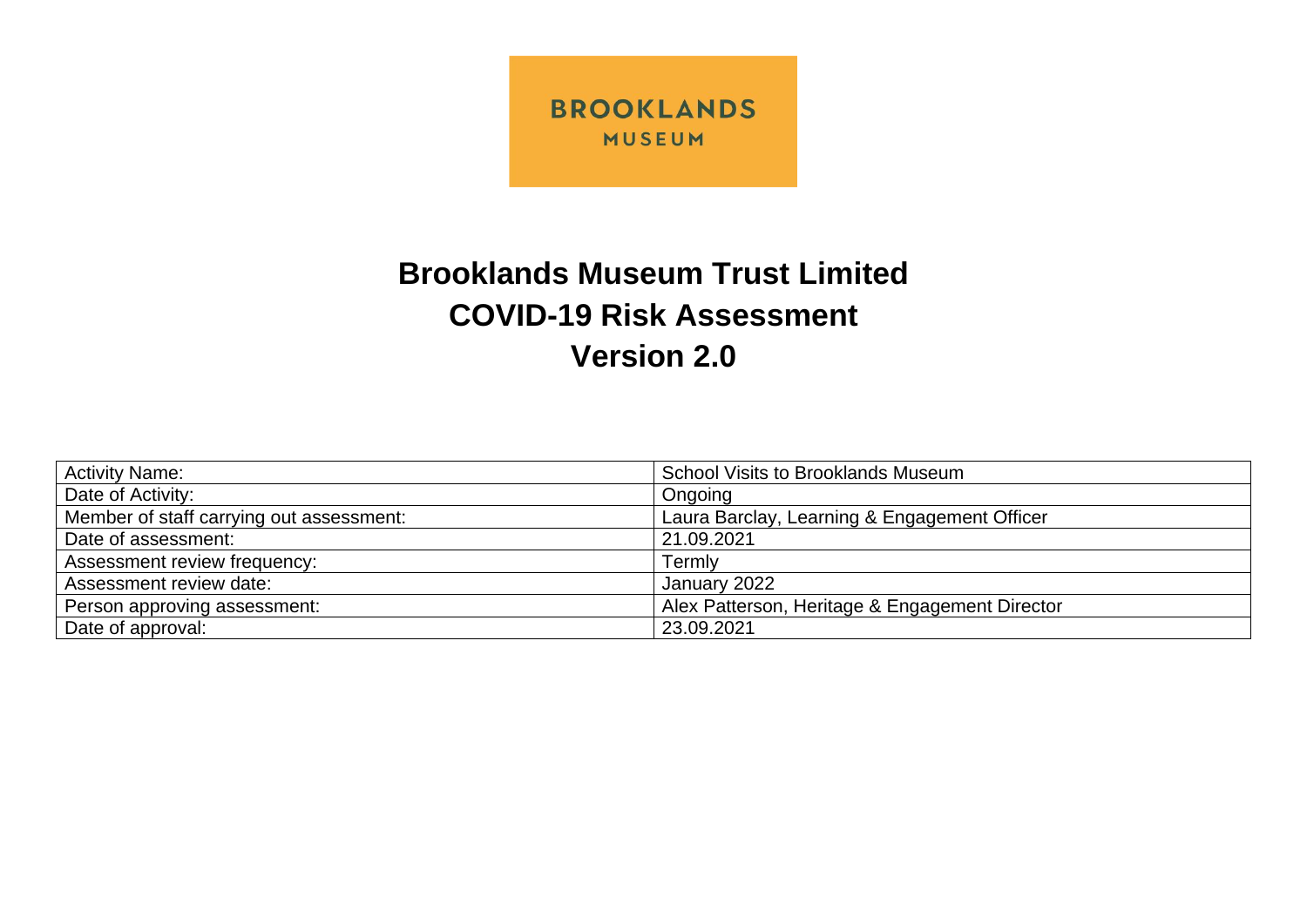

## **Brooklands Museum Trust Limited COVID-19 Risk Assessment Version 2.0**

| <b>Activity Name:</b>                    | <b>School Visits to Brooklands Museum</b>      |
|------------------------------------------|------------------------------------------------|
| Date of Activity:                        | Ongoing                                        |
| Member of staff carrying out assessment: | Laura Barclay, Learning & Engagement Officer   |
| Date of assessment:                      | 21.09.2021                                     |
| Assessment review frequency:             | Termly                                         |
| Assessment review date:                  | January 2022                                   |
| Person approving assessment:             | Alex Patterson, Heritage & Engagement Director |
| Date of approval:                        | 23.09.2021                                     |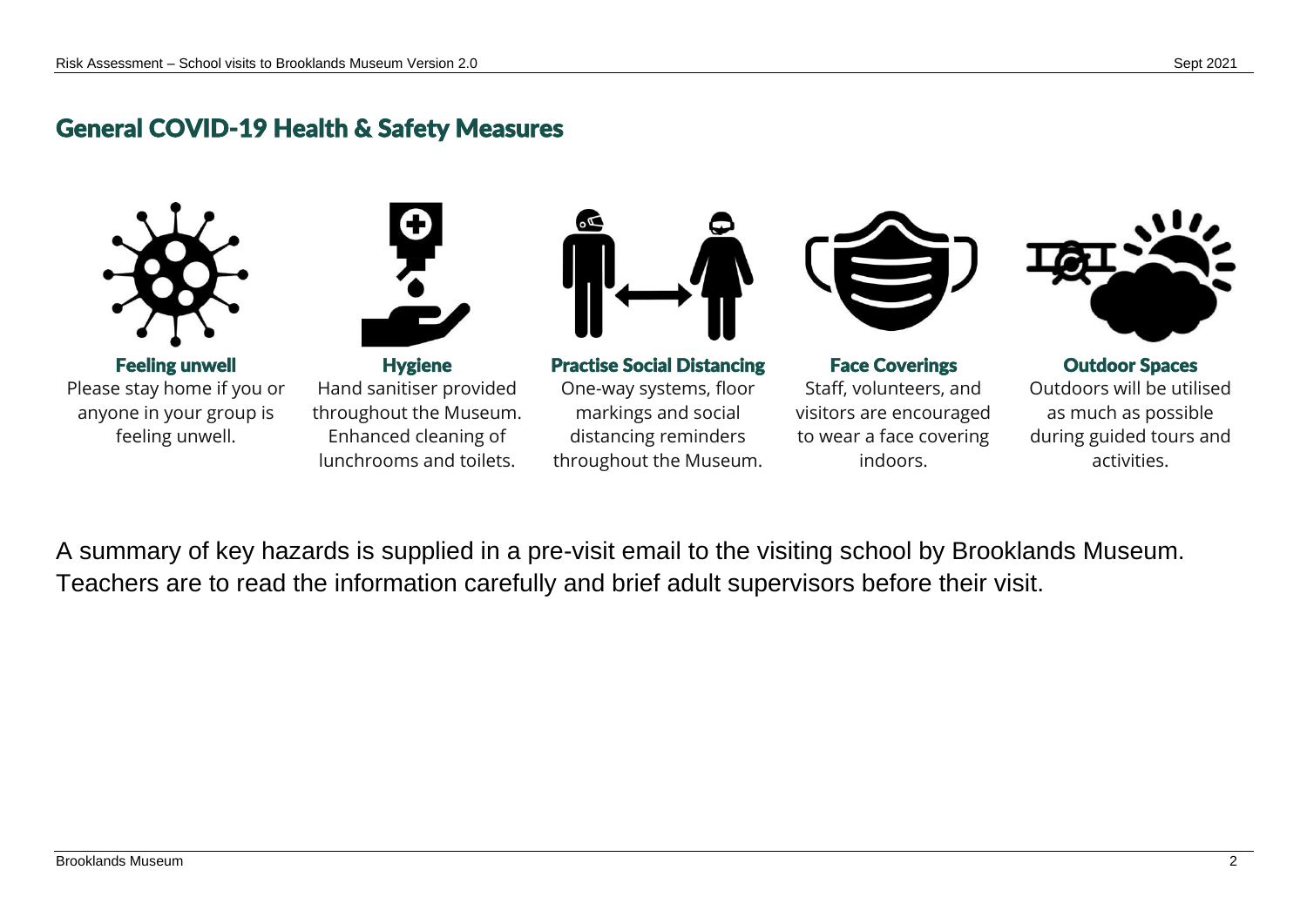## General COVID-19 Health & Safety Measures



Feeling unwell Please stay home if you or anyone in your group is feeling unwell.



**Hygiene** Hand sanitiser provided throughout the Museum. Enhanced cleaning of lunchrooms and toilets.



Practise Social Distancing One-way systems, floor markings and social distancing reminders

throughout the Museum.



Face Coverings Staff, volunteers, and visitors are encouraged to wear a face covering indoors.



Outdoor Spaces Outdoors will be utilised as much as possible during guided tours and activities.

A summary of key hazards is supplied in a pre-visit email to the visiting school by Brooklands Museum. Teachers are to read the information carefully and brief adult supervisors before their visit.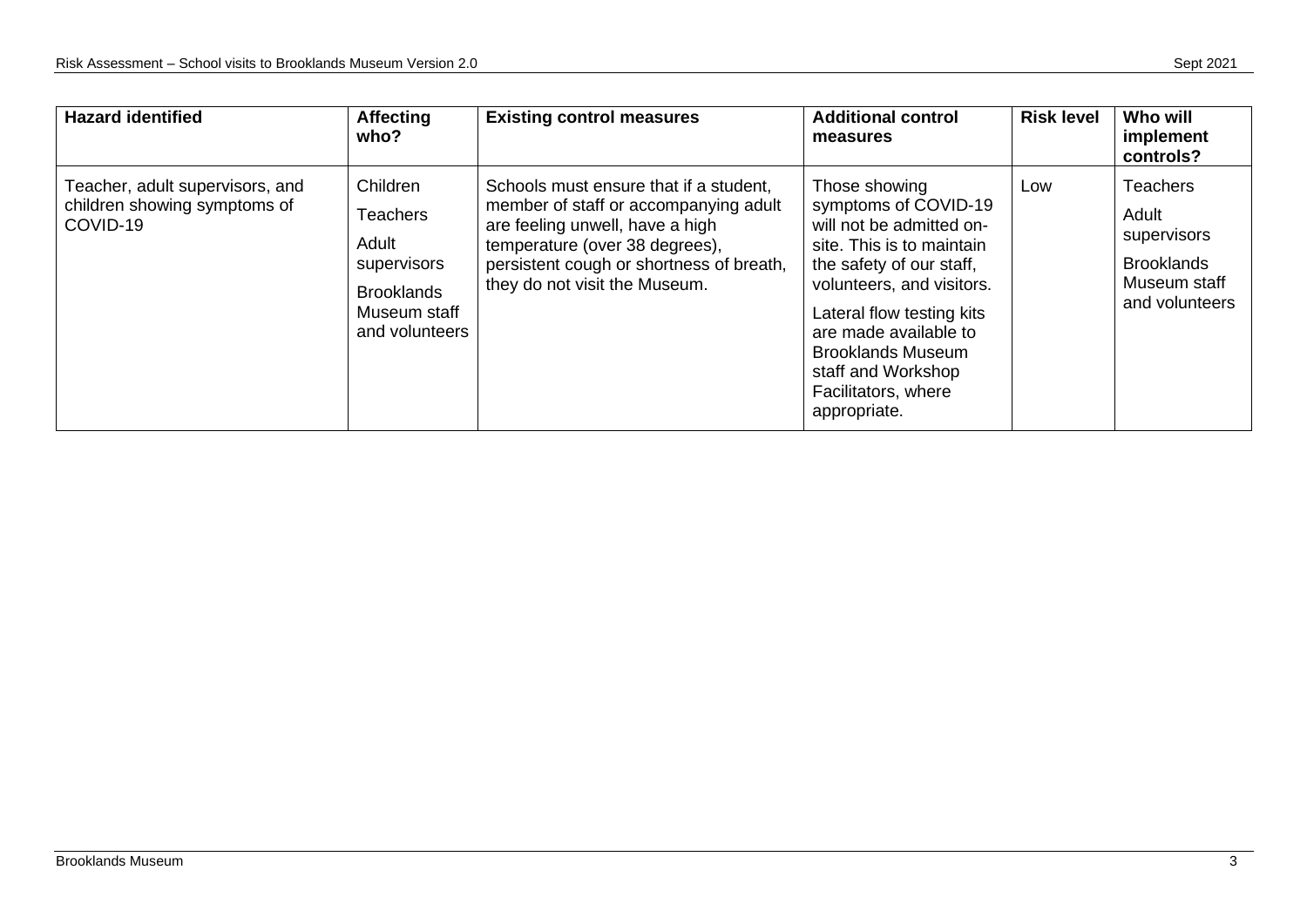| <b>Hazard identified</b>                                                    | <b>Affecting</b><br>who?                                                                                   | <b>Existing control measures</b>                                                                                                                                                                                                  | <b>Additional control</b><br>measures                                                                                                                                                                                                                                                                  | <b>Risk level</b> | Who will<br>implement<br>controls?                                                             |
|-----------------------------------------------------------------------------|------------------------------------------------------------------------------------------------------------|-----------------------------------------------------------------------------------------------------------------------------------------------------------------------------------------------------------------------------------|--------------------------------------------------------------------------------------------------------------------------------------------------------------------------------------------------------------------------------------------------------------------------------------------------------|-------------------|------------------------------------------------------------------------------------------------|
| Teacher, adult supervisors, and<br>children showing symptoms of<br>COVID-19 | Children<br><b>Teachers</b><br>Adult<br>supervisors<br><b>Brooklands</b><br>Museum staff<br>and volunteers | Schools must ensure that if a student,<br>member of staff or accompanying adult<br>are feeling unwell, have a high<br>temperature (over 38 degrees),<br>persistent cough or shortness of breath,<br>they do not visit the Museum. | Those showing<br>symptoms of COVID-19<br>will not be admitted on-<br>site. This is to maintain<br>the safety of our staff,<br>volunteers, and visitors.<br>Lateral flow testing kits<br>are made available to<br><b>Brooklands Museum</b><br>staff and Workshop<br>Facilitators, where<br>appropriate. | Low               | <b>Teachers</b><br>Adult<br>supervisors<br><b>Brooklands</b><br>Museum staff<br>and volunteers |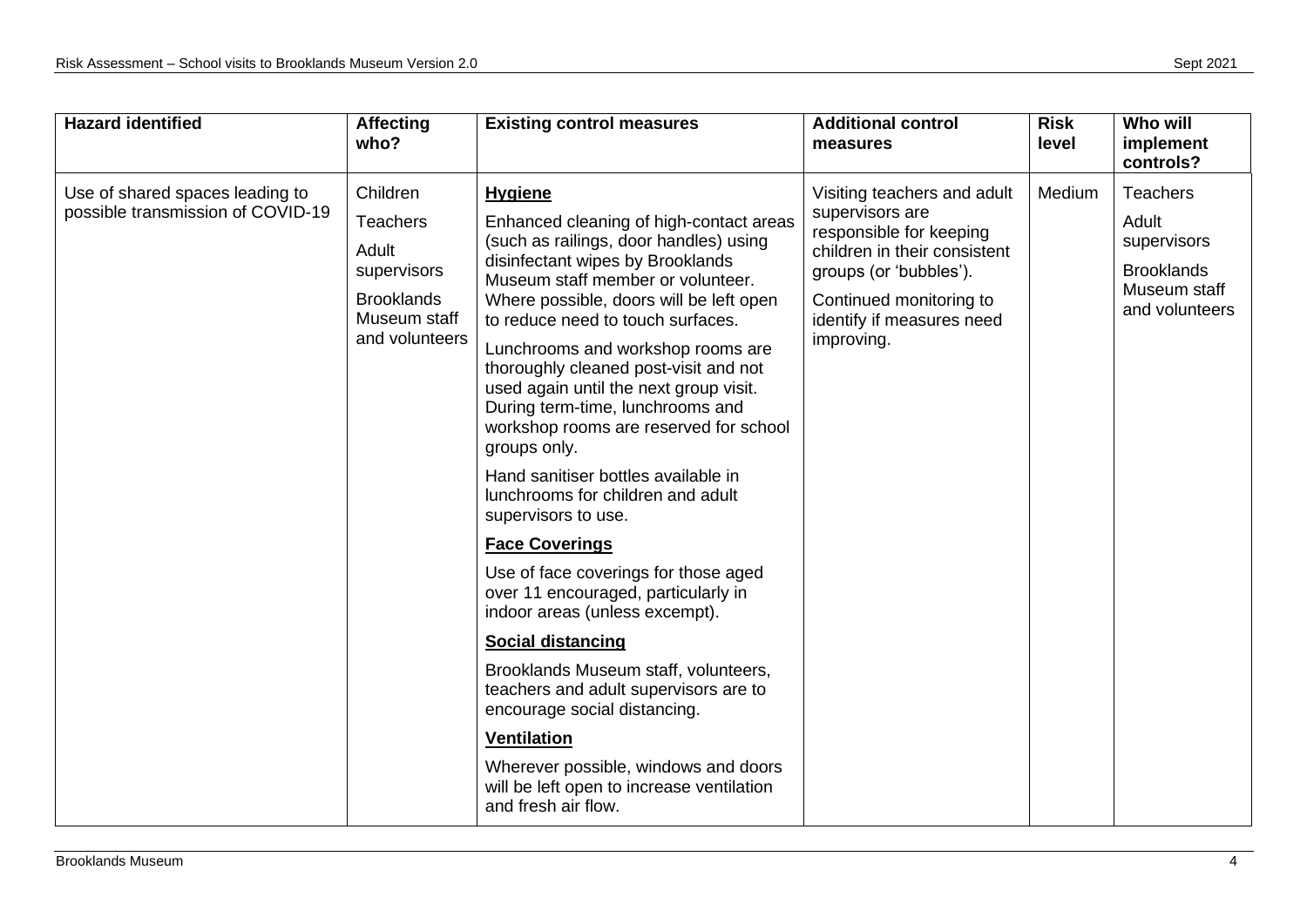| <b>Hazard identified</b>                                             | <b>Affecting</b><br>who?                                                                                   | <b>Existing control measures</b>                                                                                                                                                                                                                                                                                                                                                                                                                                                                                                                                                                                                                                                                                                                                                                                                                                                                                                                                                                        | <b>Additional control</b><br>measures                                                                                                                                                                     | <b>Risk</b><br>level | Who will<br>implement<br>controls?                                                             |
|----------------------------------------------------------------------|------------------------------------------------------------------------------------------------------------|---------------------------------------------------------------------------------------------------------------------------------------------------------------------------------------------------------------------------------------------------------------------------------------------------------------------------------------------------------------------------------------------------------------------------------------------------------------------------------------------------------------------------------------------------------------------------------------------------------------------------------------------------------------------------------------------------------------------------------------------------------------------------------------------------------------------------------------------------------------------------------------------------------------------------------------------------------------------------------------------------------|-----------------------------------------------------------------------------------------------------------------------------------------------------------------------------------------------------------|----------------------|------------------------------------------------------------------------------------------------|
| Use of shared spaces leading to<br>possible transmission of COVID-19 | Children<br><b>Teachers</b><br>Adult<br>supervisors<br><b>Brooklands</b><br>Museum staff<br>and volunteers | <b>Hygiene</b><br>Enhanced cleaning of high-contact areas<br>(such as railings, door handles) using<br>disinfectant wipes by Brooklands<br>Museum staff member or volunteer.<br>Where possible, doors will be left open<br>to reduce need to touch surfaces.<br>Lunchrooms and workshop rooms are<br>thoroughly cleaned post-visit and not<br>used again until the next group visit.<br>During term-time, lunchrooms and<br>workshop rooms are reserved for school<br>groups only.<br>Hand sanitiser bottles available in<br>lunchrooms for children and adult<br>supervisors to use.<br><b>Face Coverings</b><br>Use of face coverings for those aged<br>over 11 encouraged, particularly in<br>indoor areas (unless excempt).<br>Social distancing<br>Brooklands Museum staff, volunteers,<br>teachers and adult supervisors are to<br>encourage social distancing.<br><b>Ventilation</b><br>Wherever possible, windows and doors<br>will be left open to increase ventilation<br>and fresh air flow. | Visiting teachers and adult<br>supervisors are<br>responsible for keeping<br>children in their consistent<br>groups (or 'bubbles').<br>Continued monitoring to<br>identify if measures need<br>improving. | Medium               | <b>Teachers</b><br>Adult<br>supervisors<br><b>Brooklands</b><br>Museum staff<br>and volunteers |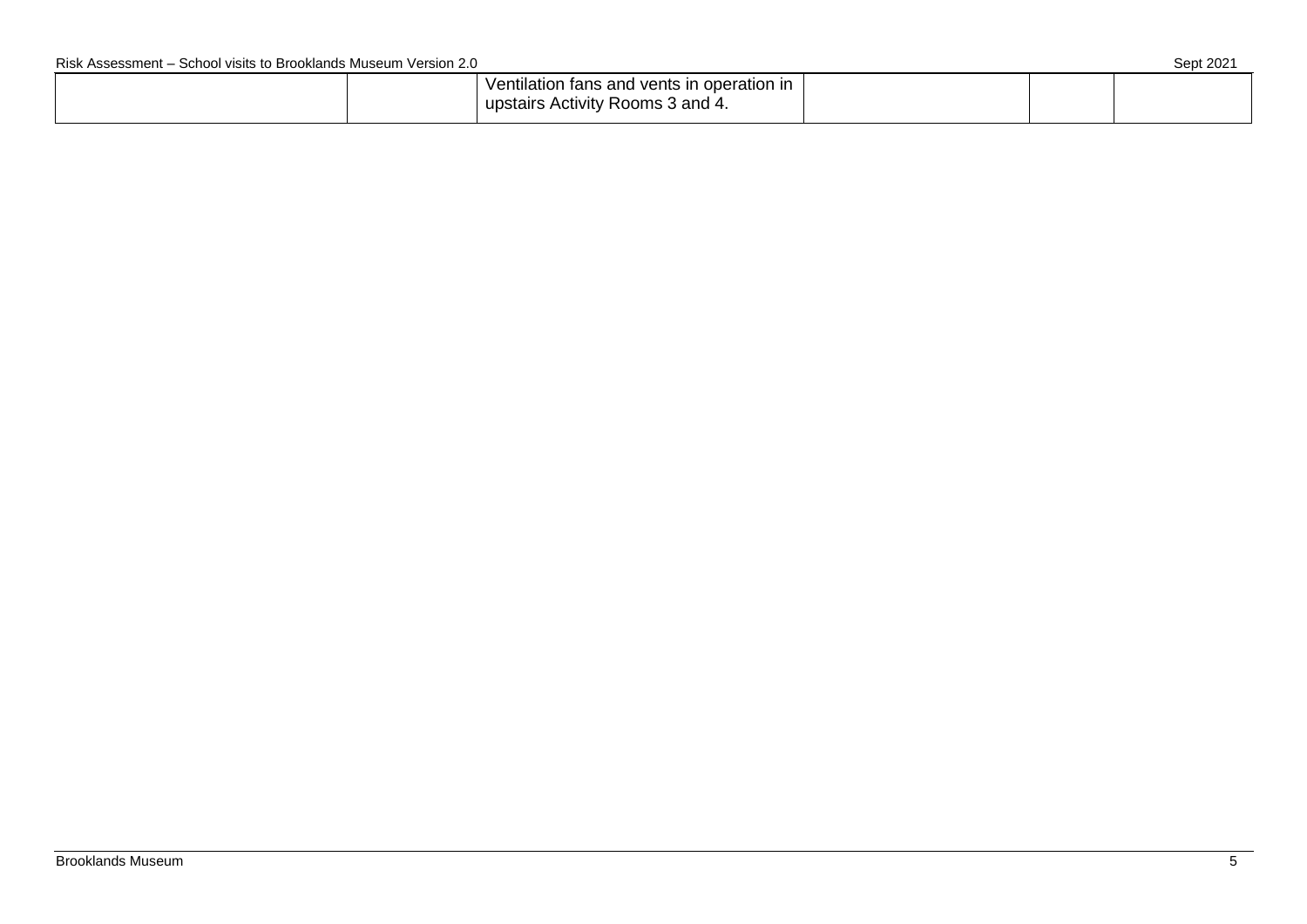| Ventilation fans and vents in operation in |  |  |
|--------------------------------------------|--|--|
| upstairs Activity Rooms 3 and 4.           |  |  |
|                                            |  |  |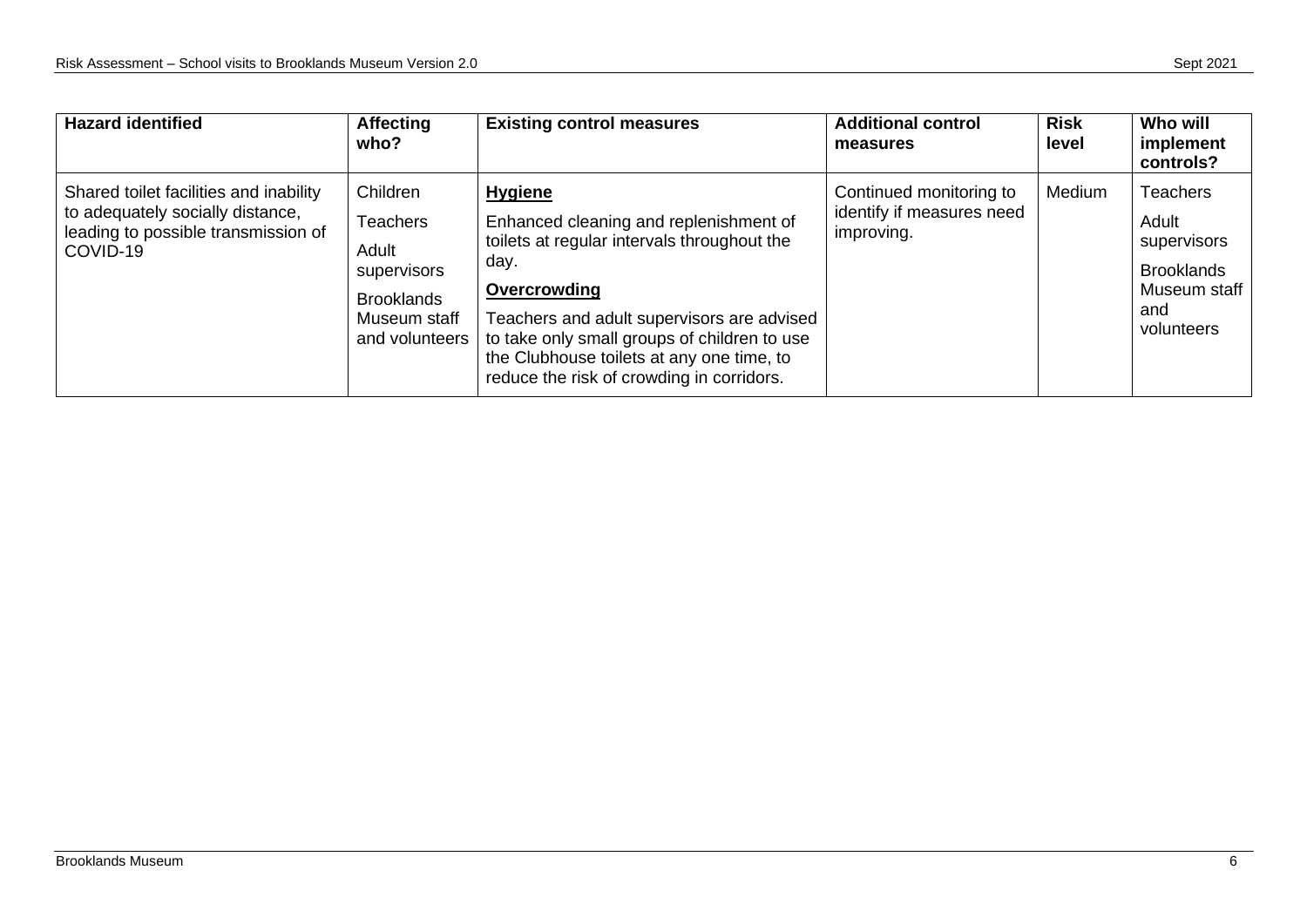| <b>Hazard identified</b>                                                                                                      | <b>Affecting</b><br>who?                                                                                   | <b>Existing control measures</b>                                                                                                                                                                                                                                                                                        | <b>Additional control</b><br>measures                              | <b>Risk</b><br>level | Who will<br>implement<br>controls?                                                                |
|-------------------------------------------------------------------------------------------------------------------------------|------------------------------------------------------------------------------------------------------------|-------------------------------------------------------------------------------------------------------------------------------------------------------------------------------------------------------------------------------------------------------------------------------------------------------------------------|--------------------------------------------------------------------|----------------------|---------------------------------------------------------------------------------------------------|
| Shared toilet facilities and inability<br>to adequately socially distance,<br>leading to possible transmission of<br>COVID-19 | Children<br><b>Teachers</b><br>Adult<br>supervisors<br><b>Brooklands</b><br>Museum staff<br>and volunteers | <b>Hygiene</b><br>Enhanced cleaning and replenishment of<br>toilets at regular intervals throughout the<br>day.<br>Overcrowding<br>Teachers and adult supervisors are advised<br>to take only small groups of children to use<br>the Clubhouse toilets at any one time, to<br>reduce the risk of crowding in corridors. | Continued monitoring to<br>identify if measures need<br>improving. | Medium               | <b>Teachers</b><br>Adult<br>supervisors<br><b>Brooklands</b><br>Museum staff<br>and<br>volunteers |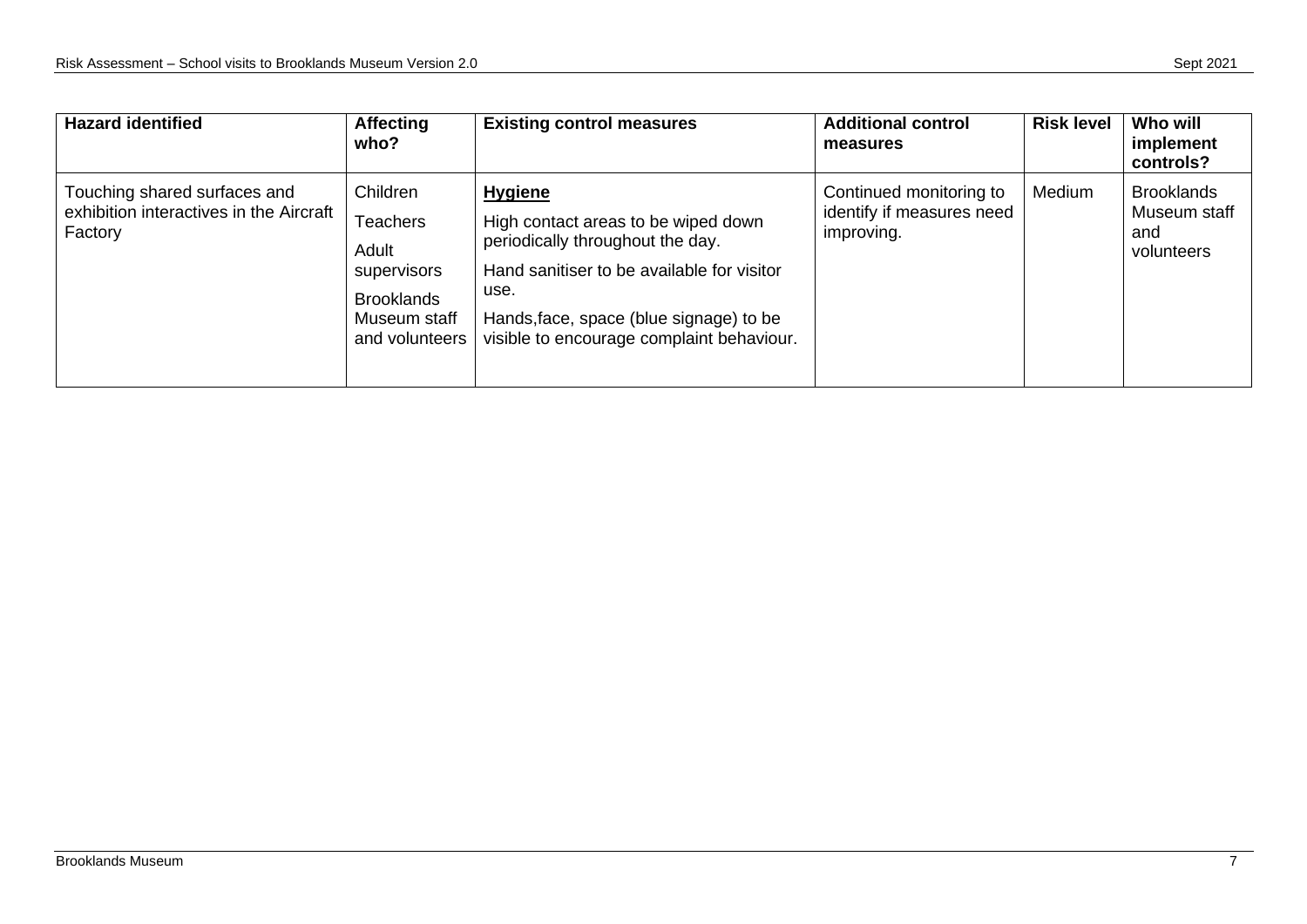| <b>Hazard identified</b>                                                           | <b>Affecting</b><br>who?                                                                                   | <b>Existing control measures</b>                                                                                                                                                                                                        | <b>Additional control</b><br>measures                              | <b>Risk level</b> | Who will<br>implement<br>controls?                     |
|------------------------------------------------------------------------------------|------------------------------------------------------------------------------------------------------------|-----------------------------------------------------------------------------------------------------------------------------------------------------------------------------------------------------------------------------------------|--------------------------------------------------------------------|-------------------|--------------------------------------------------------|
| Touching shared surfaces and<br>exhibition interactives in the Aircraft<br>Factory | Children<br><b>Teachers</b><br>Adult<br>supervisors<br><b>Brooklands</b><br>Museum staff<br>and volunteers | <b>Hygiene</b><br>High contact areas to be wiped down<br>periodically throughout the day.<br>Hand sanitiser to be available for visitor<br>use.<br>Hands, face, space (blue signage) to be<br>visible to encourage complaint behaviour. | Continued monitoring to<br>identify if measures need<br>improving. | Medium            | <b>Brooklands</b><br>Museum staff<br>and<br>volunteers |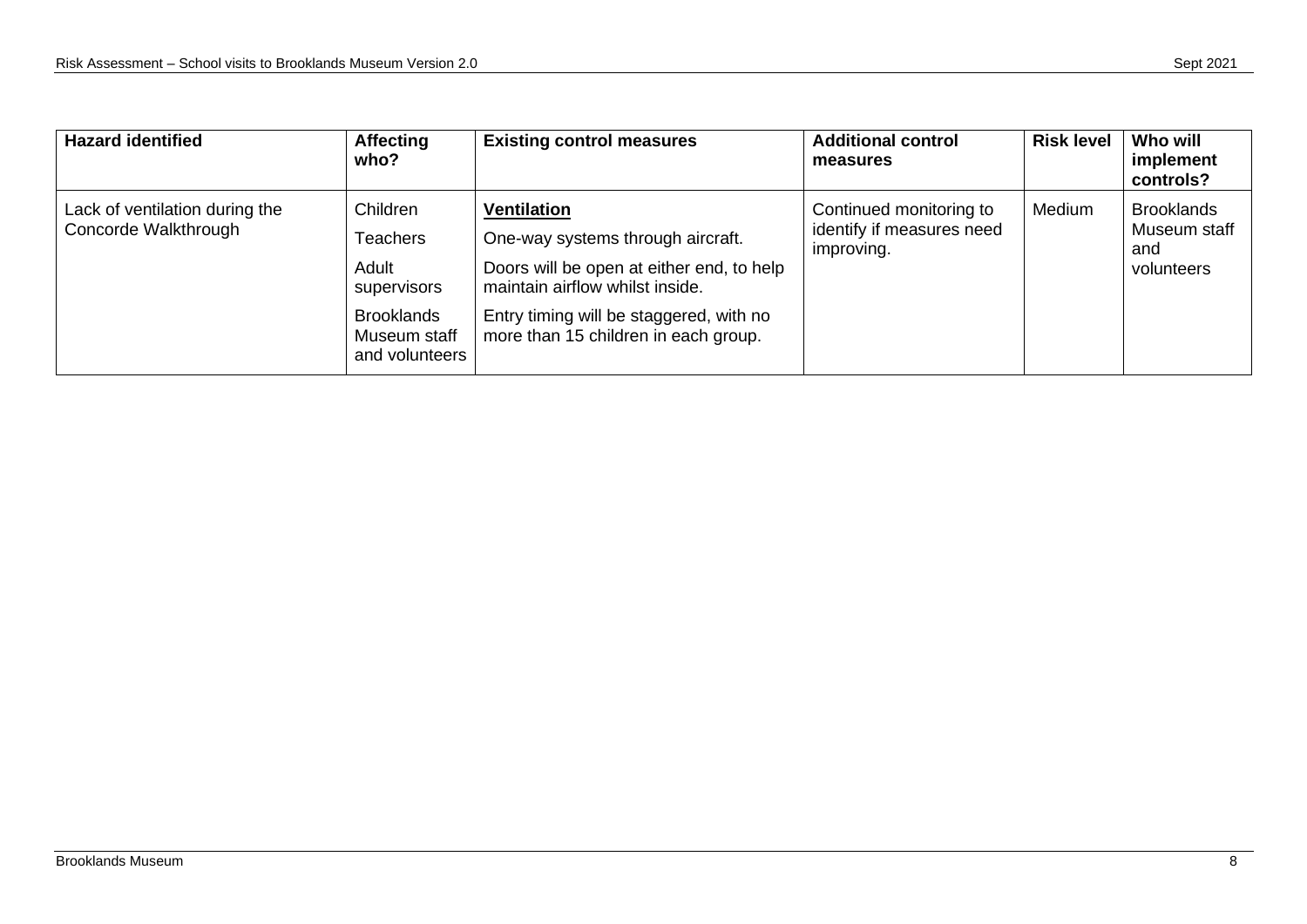| <b>Hazard identified</b>                               | <b>Affecting</b><br>who?                                                                                   | <b>Existing control measures</b>                                                                                                                                                                                           | <b>Additional control</b><br>measures                              | <b>Risk level</b> | Who will<br>implement<br>controls?                     |
|--------------------------------------------------------|------------------------------------------------------------------------------------------------------------|----------------------------------------------------------------------------------------------------------------------------------------------------------------------------------------------------------------------------|--------------------------------------------------------------------|-------------------|--------------------------------------------------------|
| Lack of ventilation during the<br>Concorde Walkthrough | Children<br><b>Teachers</b><br>Adult<br>supervisors<br><b>Brooklands</b><br>Museum staff<br>and volunteers | <b>Ventilation</b><br>One-way systems through aircraft.<br>Doors will be open at either end, to help<br>maintain airflow whilst inside.<br>Entry timing will be staggered, with no<br>more than 15 children in each group. | Continued monitoring to<br>identify if measures need<br>improving. | Medium            | <b>Brooklands</b><br>Museum staff<br>and<br>volunteers |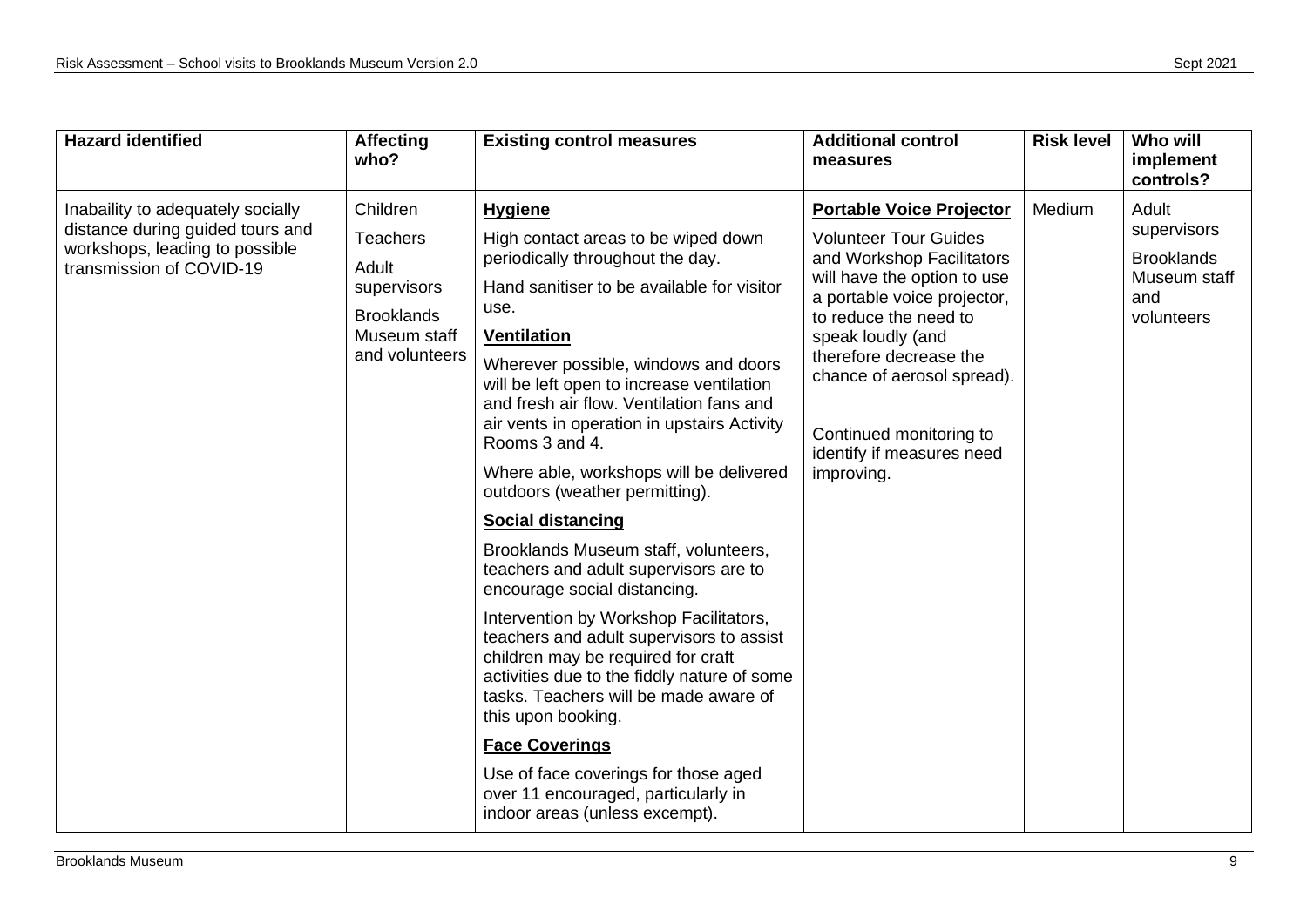| <b>Hazard identified</b>                                                                                                            | <b>Affecting</b><br>who?                                                                                   | <b>Existing control measures</b>                                                                                                                                                                                                                                                                                                                                                                                                                                                                                                                                                                                                                                                                                                                                                                                                                                                                                                                                               | <b>Additional control</b><br>measures                                                                                                                                                                                                                                                                                                  | <b>Risk level</b> | Who will<br>implement<br>controls?                                             |
|-------------------------------------------------------------------------------------------------------------------------------------|------------------------------------------------------------------------------------------------------------|--------------------------------------------------------------------------------------------------------------------------------------------------------------------------------------------------------------------------------------------------------------------------------------------------------------------------------------------------------------------------------------------------------------------------------------------------------------------------------------------------------------------------------------------------------------------------------------------------------------------------------------------------------------------------------------------------------------------------------------------------------------------------------------------------------------------------------------------------------------------------------------------------------------------------------------------------------------------------------|----------------------------------------------------------------------------------------------------------------------------------------------------------------------------------------------------------------------------------------------------------------------------------------------------------------------------------------|-------------------|--------------------------------------------------------------------------------|
| Inabaility to adequately socially<br>distance during guided tours and<br>workshops, leading to possible<br>transmission of COVID-19 | Children<br><b>Teachers</b><br>Adult<br>supervisors<br><b>Brooklands</b><br>Museum staff<br>and volunteers | <b>Hygiene</b><br>High contact areas to be wiped down<br>periodically throughout the day.<br>Hand sanitiser to be available for visitor<br>use.<br>Ventilation<br>Wherever possible, windows and doors<br>will be left open to increase ventilation<br>and fresh air flow. Ventilation fans and<br>air vents in operation in upstairs Activity<br>Rooms 3 and 4.<br>Where able, workshops will be delivered<br>outdoors (weather permitting).<br><b>Social distancing</b><br>Brooklands Museum staff, volunteers,<br>teachers and adult supervisors are to<br>encourage social distancing.<br>Intervention by Workshop Facilitators,<br>teachers and adult supervisors to assist<br>children may be required for craft<br>activities due to the fiddly nature of some<br>tasks. Teachers will be made aware of<br>this upon booking.<br><b>Face Coverings</b><br>Use of face coverings for those aged<br>over 11 encouraged, particularly in<br>indoor areas (unless excempt). | <b>Portable Voice Projector</b><br><b>Volunteer Tour Guides</b><br>and Workshop Facilitators<br>will have the option to use<br>a portable voice projector,<br>to reduce the need to<br>speak loudly (and<br>therefore decrease the<br>chance of aerosol spread).<br>Continued monitoring to<br>identify if measures need<br>improving. | Medium            | Adult<br>supervisors<br><b>Brooklands</b><br>Museum staff<br>and<br>volunteers |